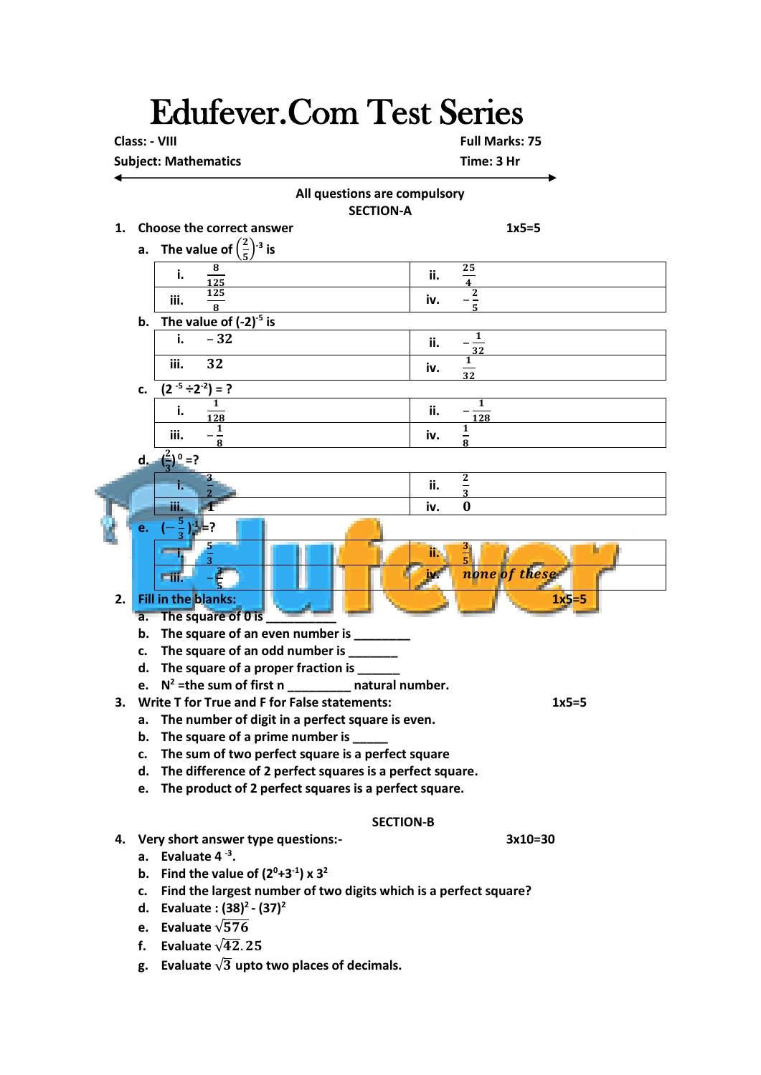## Edufever.Com Test Series

 **Class: - VIII Full Marks: 75**

**Subject: Mathematics Time: 3 Hr** 



- **f. Evaluate**  $\sqrt{42}$ , 25
- **g.** Evaluate  $\sqrt{3}$  upto two places of decimals.